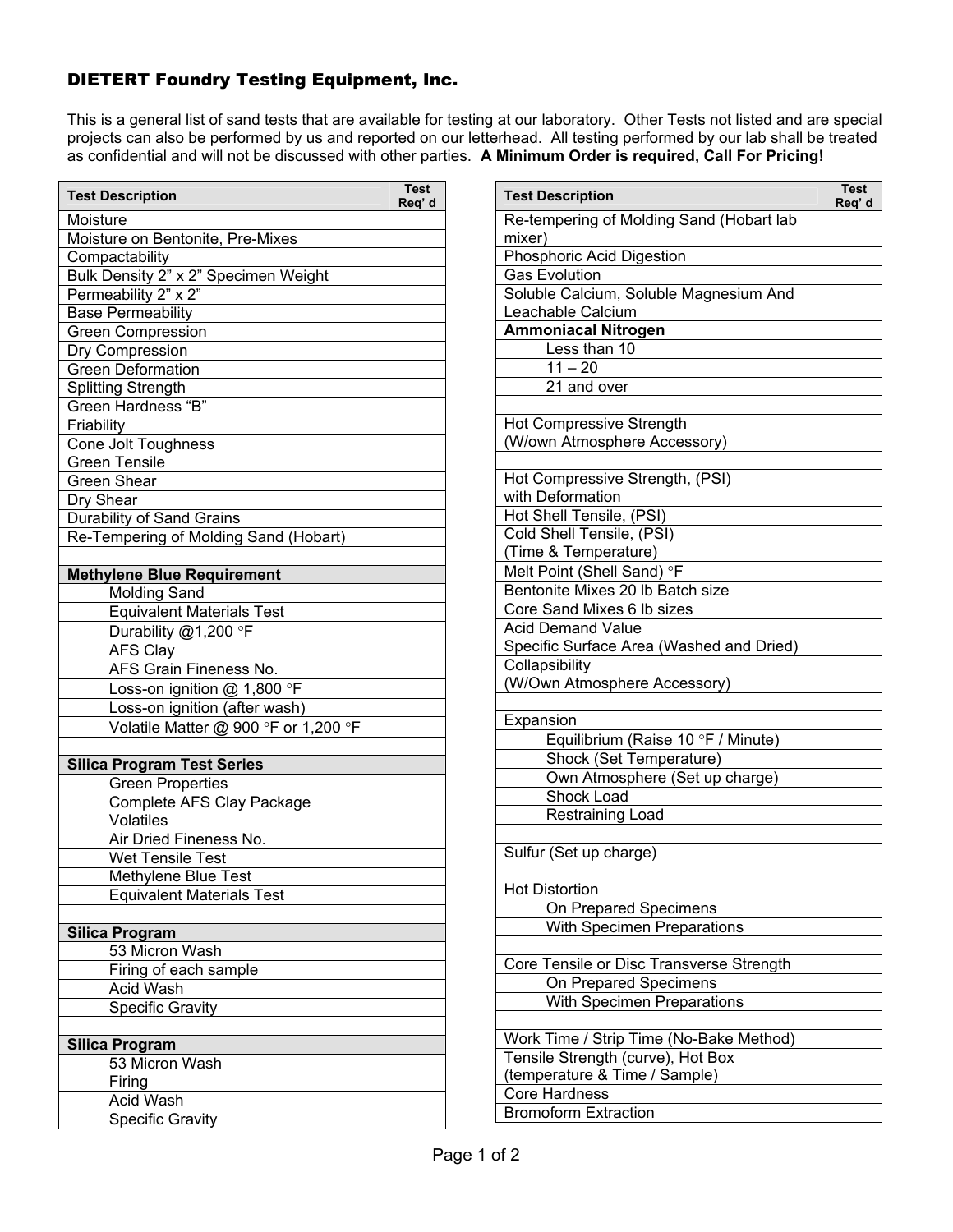## DIETERT Foundry Testing Equipment, Inc.

This is a general list of sand tests that are available for testing at our laboratory. Other Tests not listed and are special projects can also be performed by us and reported on our letterhead. All testing performed by our lab shall be treated as confidential and will not be discussed with other parties. **A Minimum Order is required, Call For Pricing!**

| <b>Test Description</b>               | <b>Test</b><br>Req' d |
|---------------------------------------|-----------------------|
| Moisture                              |                       |
| Moisture on Bentonite, Pre-Mixes      |                       |
| Compactability                        |                       |
| Bulk Density 2" x 2" Specimen Weight  |                       |
| Permeability 2" x 2"                  |                       |
| <b>Base Permeability</b>              |                       |
| <b>Green Compression</b>              |                       |
| Dry Compression                       |                       |
| <b>Green Deformation</b>              |                       |
| Splitting Strength                    |                       |
| Green Hardness "B"                    |                       |
| Friability                            |                       |
| Cone Jolt Toughness                   |                       |
| <b>Green Tensile</b>                  |                       |
| <b>Green Shear</b>                    |                       |
| Dry Shear                             |                       |
| Durability of Sand Grains             |                       |
| Re-Tempering of Molding Sand (Hobart) |                       |
|                                       |                       |
| <b>Methylene Blue Requirement</b>     |                       |
| <b>Molding Sand</b>                   |                       |
| <b>Equivalent Materials Test</b>      |                       |
| Durability @1,200 °F                  |                       |
| AFS Clay                              |                       |
| AFS Grain Fineness No.                |                       |
| Loss-on ignition @ 1,800 °F           |                       |
| Loss-on ignition (after wash)         |                       |
| Volatile Matter @ 900 °F or 1,200 °F  |                       |
|                                       |                       |
| <b>Silica Program Test Series</b>     |                       |
| <b>Green Properties</b>               |                       |
| Complete AFS Clay Package             |                       |
| Volatiles                             |                       |
| Air Dried Fineness No.                |                       |
| <b>Wet Tensile Test</b>               |                       |
| Methylene Blue Test                   |                       |
| <b>Equivalent Materials Test</b>      |                       |
|                                       |                       |
| <b>Silica Program</b>                 |                       |
| 53 Micron Wash                        |                       |
| Firing of each sample                 |                       |
| <b>Acid Wash</b>                      |                       |
| <b>Specific Gravity</b>               |                       |
|                                       |                       |
| <b>Silica Program</b>                 |                       |
| 53 Micron Wash                        |                       |
| Firing                                |                       |
| <b>Acid Wash</b>                      |                       |
| Specific Gravity                      |                       |

| <b>Test Description</b>                        | <b>Test</b><br>Req' d |
|------------------------------------------------|-----------------------|
| Re-tempering of Molding Sand (Hobart lab       |                       |
| mixer)                                         |                       |
| <b>Phosphoric Acid Digestion</b>               |                       |
| <b>Gas Evolution</b>                           |                       |
| Soluble Calcium, Soluble Magnesium And         |                       |
| Leachable Calcium                              |                       |
| <b>Ammoniacal Nitrogen</b>                     |                       |
| Less than 10                                   |                       |
| $11 - 20$                                      |                       |
| 21 and over                                    |                       |
| <b>Hot Compressive Strength</b>                |                       |
| (W/own Atmosphere Accessory)                   |                       |
|                                                |                       |
| Hot Compressive Strength, (PSI)                |                       |
| with Deformation                               |                       |
| Hot Shell Tensile, (PSI)                       |                       |
| Cold Shell Tensile, (PSI)                      |                       |
| (Time & Temperature)                           |                       |
| Melt Point (Shell Sand) °F                     |                       |
| Bentonite Mixes 20 lb Batch size               |                       |
| Core Sand Mixes 6 lb sizes                     |                       |
| <b>Acid Demand Value</b>                       |                       |
| Specific Surface Area (Washed and Dried)       |                       |
| Collapsibility                                 |                       |
| (W/Own Atmosphere Accessory)                   |                       |
|                                                |                       |
| Expansion                                      |                       |
| Equilibrium (Raise 10 °F / Minute)             |                       |
| Shock (Set Temperature)                        |                       |
| Own Atmosphere (Set up charge)                 |                       |
| <b>Shock Load</b>                              |                       |
| Restraining Load                               |                       |
|                                                |                       |
| Sulfur (Set up charge)                         |                       |
|                                                |                       |
| <b>Hot Distortion</b>                          |                       |
| On Prepared Specimens                          |                       |
| With Specimen Preparations                     |                       |
|                                                |                       |
| Core Tensile or Disc Transverse Strength       |                       |
| On Prepared Specimens                          |                       |
| With Specimen Preparations                     |                       |
|                                                |                       |
| Work Time / Strip Time (No-Bake Method)        |                       |
| Tensile Strength (curve), Hot Box              |                       |
| (temperature & Time / Sample)<br>Core Hardness |                       |
| <b>Bromoform Extraction</b>                    |                       |
|                                                |                       |